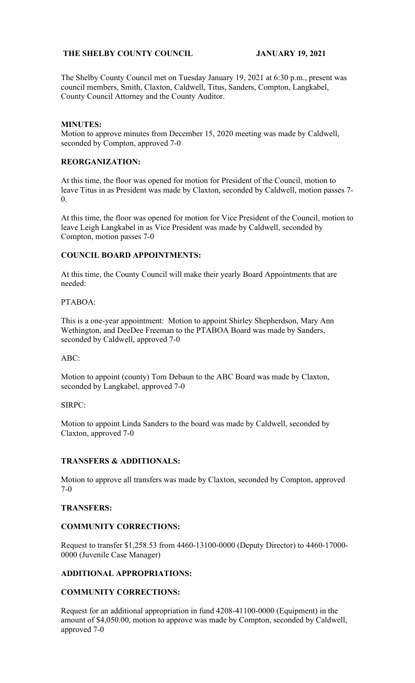# **THE SHELBY COUNTY COUNCIL JANUARY 19, 2021**

The Shelby County Council met on Tuesday January 19, 2021 at 6:30 p.m., present was council members, Smith, Claxton, Caldwell, Titus, Sanders, Compton, Langkabel, County Council Attorney and the County Auditor.

#### **MINUTES:**

Motion to approve minutes from December 15, 2020 meeting was made by Caldwell, seconded by Compton, approved 7-0

#### **REORGANIZATION:**

At this time, the floor was opened for motion for President of the Council, motion to leave Titus in as President was made by Claxton, seconded by Caldwell, motion passes 7- 0.

At this time, the floor was opened for motion for Vice President of the Council, motion to leave Leigh Langkabel in as Vice President was made by Caldwell, seconded by Compton, motion passes 7-0

#### **COUNCIL BOARD APPOINTMENTS:**

At this time, the County Council will make their yearly Board Appointments that are needed:

# PTABOA:

This is a one-year appointment: Motion to appoint Shirley Shepherdson, Mary Ann Wethington, and DeeDee Freeman to the PTABOA Board was made by Sanders, seconded by Caldwell, approved 7-0

#### ABC:

Motion to appoint (county) Tom Debaun to the ABC Board was made by Claxton, seconded by Langkabel, approved 7-0

#### SIRPC:

Motion to appoint Linda Sanders to the board was made by Caldwell, seconded by Claxton, approved 7-0

# **TRANSFERS & ADDITIONALS:**

Motion to approve all transfers was made by Claxton, seconded by Compton, approved 7-0

#### **TRANSFERS:**

## **COMMUNITY CORRECTIONS:**

Request to transfer \$1,258.53 from 4460-13100-0000 (Deputy Director) to 4460-17000- 0000 (Juvenile Case Manager)

## **ADDITIONAL APPROPRIATIONS:**

## **COMMUNITY CORRECTIONS:**

Request for an additional appropriation in fund 4208-41100-0000 (Equipment) in the amount of \$4,050.00, motion to approve was made by Compton, seconded by Caldwell, approved 7-0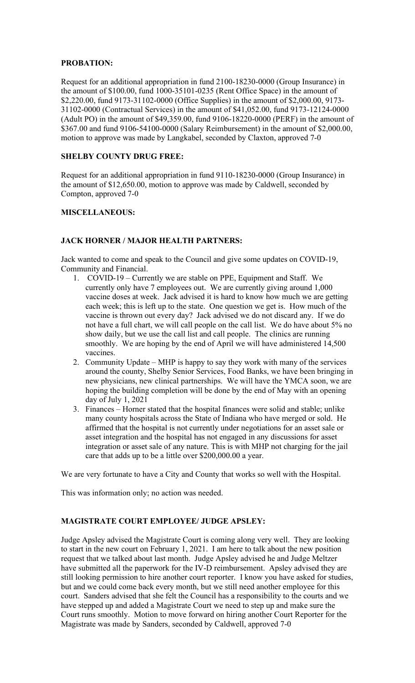# **PROBATION:**

Request for an additional appropriation in fund 2100-18230-0000 (Group Insurance) in the amount of \$100.00, fund 1000-35101-0235 (Rent Office Space) in the amount of \$2,220.00, fund 9173-31102-0000 (Office Supplies) in the amount of \$2,000.00, 9173- 31102-0000 (Contractual Services) in the amount of \$41,052.00, fund 9173-12124-0000 (Adult PO) in the amount of \$49,359.00, fund 9106-18220-0000 (PERF) in the amount of \$367.00 and fund 9106-54100-0000 (Salary Reimbursement) in the amount of \$2,000.00, motion to approve was made by Langkabel, seconded by Claxton, approved 7-0

# **SHELBY COUNTY DRUG FREE:**

Request for an additional appropriation in fund 9110-18230-0000 (Group Insurance) in the amount of \$12,650.00, motion to approve was made by Caldwell, seconded by Compton, approved 7-0

## **MISCELLANEOUS:**

# **JACK HORNER / MAJOR HEALTH PARTNERS:**

Jack wanted to come and speak to the Council and give some updates on COVID-19, Community and Financial.

- 1. COVID-19 Currently we are stable on PPE, Equipment and Staff. We currently only have 7 employees out. We are currently giving around 1,000 vaccine doses at week. Jack advised it is hard to know how much we are getting each week; this is left up to the state. One question we get is. How much of the vaccine is thrown out every day? Jack advised we do not discard any. If we do not have a full chart, we will call people on the call list. We do have about 5% no show daily, but we use the call list and call people. The clinics are running smoothly. We are hoping by the end of April we will have administered 14,500 vaccines.
- 2. Community Update MHP is happy to say they work with many of the services around the county, Shelby Senior Services, Food Banks, we have been bringing in new physicians, new clinical partnerships. We will have the YMCA soon, we are hoping the building completion will be done by the end of May with an opening day of July 1, 2021
- 3. Finances Horner stated that the hospital finances were solid and stable; unlike many county hospitals across the State of Indiana who have merged or sold. He affirmed that the hospital is not currently under negotiations for an asset sale or asset integration and the hospital has not engaged in any discussions for asset integration or asset sale of any nature. This is with MHP not charging for the jail care that adds up to be a little over \$200,000.00 a year.

We are very fortunate to have a City and County that works so well with the Hospital.

This was information only; no action was needed.

## **MAGISTRATE COURT EMPLOYEE/ JUDGE APSLEY:**

Judge Apsley advised the Magistrate Court is coming along very well. They are looking to start in the new court on February 1, 2021. I am here to talk about the new position request that we talked about last month. Judge Apsley advised he and Judge Meltzer have submitted all the paperwork for the IV-D reimbursement. Apsley advised they are still looking permission to hire another court reporter. I know you have asked for studies, but and we could come back every month, but we still need another employee for this court. Sanders advised that she felt the Council has a responsibility to the courts and we have stepped up and added a Magistrate Court we need to step up and make sure the Court runs smoothly. Motion to move forward on hiring another Court Reporter for the Magistrate was made by Sanders, seconded by Caldwell, approved 7-0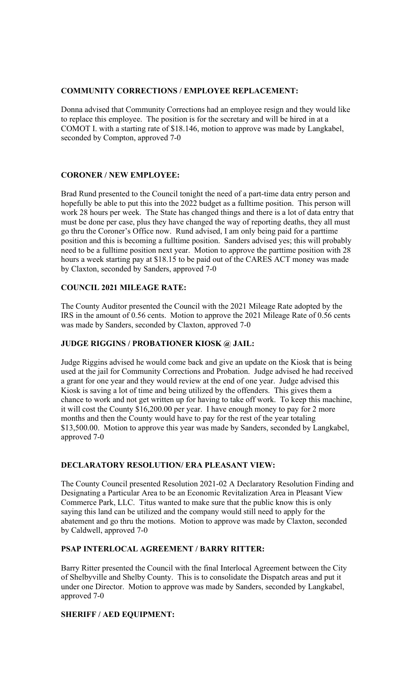#### **COMMUNITY CORRECTIONS / EMPLOYEE REPLACEMENT:**

Donna advised that Community Corrections had an employee resign and they would like to replace this employee. The position is for the secretary and will be hired in at a COMOT I. with a starting rate of \$18.146, motion to approve was made by Langkabel, seconded by Compton, approved 7-0

## **CORONER / NEW EMPLOYEE:**

Brad Rund presented to the Council tonight the need of a part-time data entry person and hopefully be able to put this into the 2022 budget as a fulltime position. This person will work 28 hours per week. The State has changed things and there is a lot of data entry that must be done per case, plus they have changed the way of reporting deaths, they all must go thru the Coroner's Office now. Rund advised, I am only being paid for a parttime position and this is becoming a fulltime position. Sanders advised yes; this will probably need to be a fulltime position next year. Motion to approve the parttime position with 28 hours a week starting pay at \$18.15 to be paid out of the CARES ACT money was made by Claxton, seconded by Sanders, approved 7-0

## **COUNCIL 2021 MILEAGE RATE:**

The County Auditor presented the Council with the 2021 Mileage Rate adopted by the IRS in the amount of 0.56 cents. Motion to approve the 2021 Mileage Rate of 0.56 cents was made by Sanders, seconded by Claxton, approved 7-0

#### **JUDGE RIGGINS / PROBATIONER KIOSK @ JAIL:**

Judge Riggins advised he would come back and give an update on the Kiosk that is being used at the jail for Community Corrections and Probation. Judge advised he had received a grant for one year and they would review at the end of one year. Judge advised this Kiosk is saving a lot of time and being utilized by the offenders. This gives them a chance to work and not get written up for having to take off work. To keep this machine, it will cost the County \$16,200.00 per year. I have enough money to pay for 2 more months and then the County would have to pay for the rest of the year totaling \$13,500.00. Motion to approve this year was made by Sanders, seconded by Langkabel, approved 7-0

## **DECLARATORY RESOLUTION/ ERA PLEASANT VIEW:**

The County Council presented Resolution 2021-02 A Declaratory Resolution Finding and Designating a Particular Area to be an Economic Revitalization Area in Pleasant View Commerce Park, LLC. Titus wanted to make sure that the public know this is only saying this land can be utilized and the company would still need to apply for the abatement and go thru the motions. Motion to approve was made by Claxton, seconded by Caldwell, approved 7-0

# **PSAP INTERLOCAL AGREEMENT / BARRY RITTER:**

Barry Ritter presented the Council with the final Interlocal Agreement between the City of Shelbyville and Shelby County. This is to consolidate the Dispatch areas and put it under one Director. Motion to approve was made by Sanders, seconded by Langkabel, approved 7-0

#### **SHERIFF / AED EQUIPMENT:**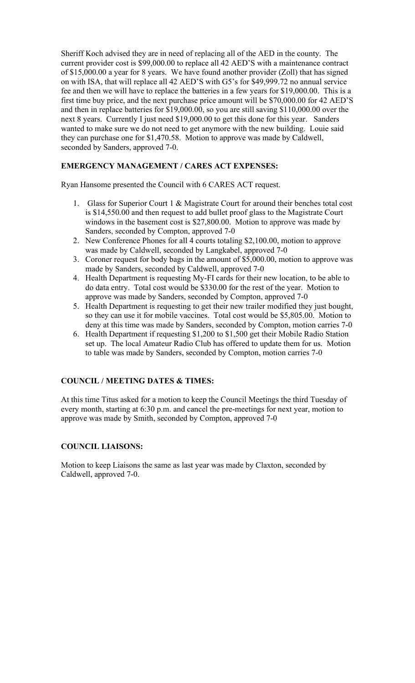Sheriff Koch advised they are in need of replacing all of the AED in the county. The current provider cost is \$99,000.00 to replace all 42 AED'S with a maintenance contract of \$15,000.00 a year for 8 years. We have found another provider (Zoll) that has signed on with ISA, that will replace all 42 AED'S with G5's for \$49,999.72 no annual service fee and then we will have to replace the batteries in a few years for \$19,000.00. This is a first time buy price, and the next purchase price amount will be \$70,000.00 for 42 AED'S and then in replace batteries for \$19,000.00, so you are still saving \$110,000.00 over the next 8 years. Currently I just need \$19,000.00 to get this done for this year. Sanders wanted to make sure we do not need to get anymore with the new building. Louie said they can purchase one for \$1,470.58. Motion to approve was made by Caldwell, seconded by Sanders, approved 7-0.

# **EMERGENCY MANAGEMENT / CARES ACT EXPENSES:**

Ryan Hansome presented the Council with 6 CARES ACT request.

- 1. Glass for Superior Court 1 & Magistrate Court for around their benches total cost is \$14,550.00 and then request to add bullet proof glass to the Magistrate Court windows in the basement cost is \$27,800.00. Motion to approve was made by Sanders, seconded by Compton, approved 7-0
- 2. New Conference Phones for all 4 courts totaling \$2,100.00, motion to approve was made by Caldwell, seconded by Langkabel, approved 7-0
- 3. Coroner request for body bags in the amount of \$5,000.00, motion to approve was made by Sanders, seconded by Caldwell, approved 7-0
- 4. Health Department is requesting My-FI cards for their new location, to be able to do data entry. Total cost would be \$330.00 for the rest of the year. Motion to approve was made by Sanders, seconded by Compton, approved 7-0
- 5. Health Department is requesting to get their new trailer modified they just bought, so they can use it for mobile vaccines. Total cost would be \$5,805.00. Motion to deny at this time was made by Sanders, seconded by Compton, motion carries 7-0
- 6. Health Department if requesting \$1,200 to \$1,500 get their Mobile Radio Station set up. The local Amateur Radio Club has offered to update them for us. Motion to table was made by Sanders, seconded by Compton, motion carries 7-0

# **COUNCIL / MEETING DATES & TIMES:**

At this time Titus asked for a motion to keep the Council Meetings the third Tuesday of every month, starting at 6:30 p.m. and cancel the pre-meetings for next year, motion to approve was made by Smith, seconded by Compton, approved 7-0

## **COUNCIL LIAISONS:**

Motion to keep Liaisons the same as last year was made by Claxton, seconded by Caldwell, approved 7-0.